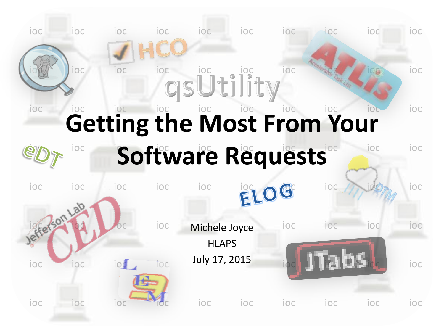ioc ioc ioc ioc ioc ioc ioc ioc ioc ioc

#### ioc ioc ioc ioc ioc ioc ioc ioc ioc ioc ioc ioc ioc ioc ioc ioc ioc ioc ioc ioc **Getting the Most From Your**

# *PDT* ioc Software Requests inclusion

ioc ioc ioc ioc ioc ioc ioc ioc ioc in ioop ioc ioce ioc Michele Joyce ioc ioc ioc ioc ioc ioc ioc ioc July 17, 2015 ioc ioc ioc ioc ioc ioc ioc ioc ioc ioc ioc ioc ioc ioc **HLAPS** July 17, 2015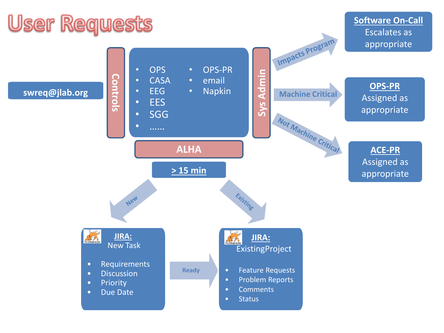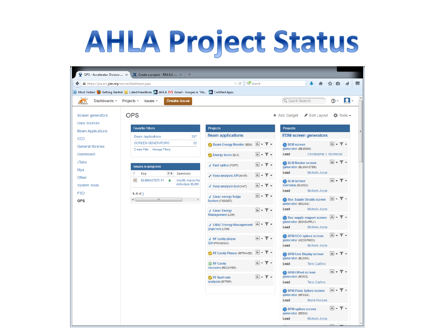#### **AHLA Project Status**

|                                                      | $\ddot{\mathbf{y}}$ OPS - Accelerator Division $\times \mathbf{X}$ Create a project - JIRA 6.1 - $\times +$ |                                                         |                                                                                   |                                                                                                 |                                                       |
|------------------------------------------------------|-------------------------------------------------------------------------------------------------------------|---------------------------------------------------------|-----------------------------------------------------------------------------------|-------------------------------------------------------------------------------------------------|-------------------------------------------------------|
| ←<br>https://jira.acc.jlab.org/secure/Dashboard.jspa |                                                                                                             | C <sup>o</sup> Search<br>$\triangledown$ C <sup>i</sup> |                                                                                   |                                                                                                 | ☆<br>自                                                |
|                                                      | A Most Visited C Getting Started S Latest Headlines T AHLA M Gmail - Images in "Ha T Certified Apps         |                                                         |                                                                                   |                                                                                                 |                                                       |
| Dashboards -<br>2.71                                 | Projects $\sim$<br><b>Create issue</b><br>$Issues$ –                                                        |                                                         |                                                                                   | Q Quick Search                                                                                  | @ -                                                   |
| Screen generators<br>Data Sources                    | <b>OPS</b>                                                                                                  |                                                         |                                                                                   | Edit Layout<br>+ Add Gadget                                                                     | $\ddot{\Omega}$ Tools $\sim$                          |
| <b>Beam Applications</b>                             | <b>Favorite Filters</b>                                                                                     | <b>Projects</b>                                         |                                                                                   | <b>Projects</b>                                                                                 |                                                       |
| <b>CED</b>                                           | <b>Beam Applications</b><br>397                                                                             | <b>Beam applications</b>                                |                                                                                   | <b>EDM screen generators</b>                                                                    |                                                       |
| <b>General libraries</b>                             | <b>SCREEN GENERATORS</b><br>22<br>Create Filter   Manage Filters                                            | Beam Energy Monitor (BEM) L v V v                       |                                                                                   | <b>BEM</b> screen<br>generator (BEMEDM)                                                         | $\boxed{\text{m}}$ $\bullet$ $\blacksquare$ $\bullet$ |
| Dashboard                                            |                                                                                                             | <b>C</b> Energy locks (ELK)                             | $\mathbb{H}$ - $\top$ -                                                           | Lead<br>Christopher J. Slominski                                                                |                                                       |
| <b>JTabs</b><br>Mya                                  | <b>Issues in progress</b>                                                                                   | <b>/ Fast optics (FOPT)</b>                             | $\boxed{\text{m}}$ + $\boxed{\text{m}}$ +                                         | BLM Master screen<br>generator (BLMMASTER)                                                      | $\boxed{\text{m}}$ + $\boxed{\text{r}}$ +             |
| Other                                                | $P +$<br><b>Summary</b><br>T.<br>Key                                                                        | ← Harp analysis API (HAPI)                              | $\boxed{\text{m}}$ + $\top$ +                                                     | Lead<br>Michele Joyce                                                                           |                                                       |
| <b>System Tools</b>                                  | ි<br>BLMMASTER-11<br>÷.<br>modify macro for<br>individual BLMS                                              | / Harp analysis tool (HAT)                              | $\boxed{\text{th}}$ $\rightarrow$ $\boxed{\text{}}$ $\rightarrow$                 | <b>BLM</b> screen<br>overview (BLMSO)<br>Michele Joyce<br>Lead                                  | $\boxed{\text{m}}$ + $\boxed{\text{m}}$ +             |
| <b>FSD</b><br><b>OPS</b>                             | 1-1 of $1$<br>m.                                                                                            | / Linac energy fudge<br>factors (FUDGEIT)               | $\boxed{\text{th}}$ $\rightarrow$ $\boxed{\text{}}$ $\rightarrow$                 | <b>Box Supply Details screen</b><br>generator (BSDSG)                                           | $\boxed{\text{m}}$ + $\top$ +                         |
|                                                      |                                                                                                             | √ Linac Energy                                          | $\mathbb{H}$ + $\mathbb{T}$ +                                                     | Lead<br>Michele Joyce                                                                           |                                                       |
|                                                      |                                                                                                             | Management (LEM)<br>√ LINAC Energy Management [L] ▼ ▼ ▼ |                                                                                   | Box supply magnet screen $[\underline{\mathfrak{m}}] \star \top \star$<br>generator (BOXSUPPLY) |                                                       |
|                                                      |                                                                                                             | (injector) (LEMI)                                       |                                                                                   | Michele Joyce<br>Lead                                                                           |                                                       |
|                                                      |                                                                                                             | <b>/</b> RF cavity phase<br><b>GUI (PHASEGUI)</b>       | $\left[\mathbf{1}\mathbf{1}\right]\mathbf{1}$ $\mathbf{1}\mathbf{1}$ $\mathbf{1}$ | BPM HCO spikes screen<br>generator (HCOSPIKES)<br>Michele Joyce<br>Lead                         | $\boxed{\text{m}}$ + $\boxed{\text{r}}$ +             |
|                                                      |                                                                                                             | RF Cavity Phaser (RFPHASE)                              | $[\n\mathbf{m}] \cdot \blacktriangledown \cdot$                                   | <b>BPM Live Display screen</b><br>generator (BLDSG)                                             | $\boxed{\text{m}}$ + $\top$ +                         |
|                                                      |                                                                                                             | S RF Cavity<br>recovery (RECOVER)                       | $\mathbb{H}$ $\mathbb{R}$ $\mathbb{R}$ $\mathbb{R}$                               | Lead<br><b>Terry Carlino</b>                                                                    |                                                       |
|                                                      |                                                                                                             | RF fault rate<br>analysis (RFTRIP)                      | $\boxed{\text{m}}$ + $\boxed{\text{m}}$ +                                         | BPM Offset screen<br>generator (BOSG)<br><b>Terry Carlino</b><br>Lead                           | $\boxed{\text{m}}$ + $\top$ +                         |
|                                                      |                                                                                                             |                                                         |                                                                                   | <b>BPM Pass Spikes screen</b><br>generator (BPSSG)<br>Marie Keesee<br>Lead                      | $\boxed{\text{m}}$ + $\top$ +                         |
|                                                      |                                                                                                             |                                                         |                                                                                   |                                                                                                 |                                                       |
|                                                      |                                                                                                             |                                                         |                                                                                   | BPM spikes screen<br>generator (BSSG)<br>Michele Joyce<br>Lead                                  | $\mathbb{H}$ $\mathbb{R}$ $\mathbb{R}$ $\mathbb{R}$   |
|                                                      |                                                                                                             |                                                         |                                                                                   |                                                                                                 |                                                       |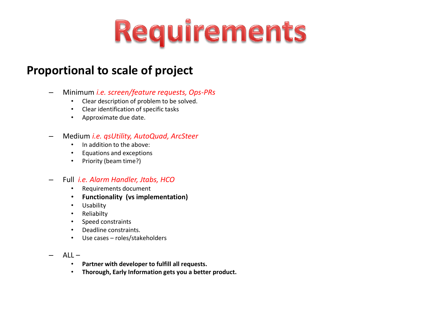# Requirements

#### **Proportional to scale of project**

- Minimum *i.e. screen/feature requests, Ops-PRs*
	- Clear description of problem to be solved.
	- Clear identification of specific tasks
	- Approximate due date.
- Medium *i.e. qsUtility, AutoQuad, ArcSteer*
	- In addition to the above:
	- Equations and exceptions
	- Priority (beam time?)
- Full *i.e. Alarm Handler, Jtabs, HCO*
	- Requirements document
	- **Functionality (vs implementation)**
	- Usability
	- Reliabilty
	- Speed constraints
	- Deadline constraints.
	- Use cases roles/stakeholders
- $-$  All  $-$ 
	- **Partner with developer to fulfill all requests.**
	- **Thorough, Early Information gets you a better product.**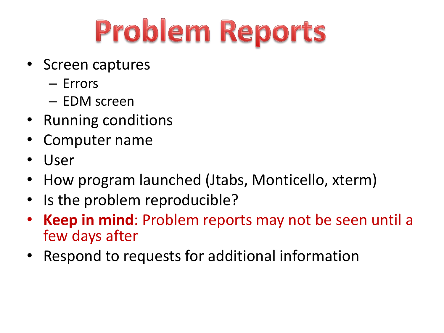# Problem Reports

- Screen captures
	- Errors
	- EDM screen
- Running conditions
- Computer name
- User
- How program launched (Jtabs, Monticello, xterm)
- Is the problem reproducible?
- Keep in mind: Problem reports may not be seen until a few days after
- Respond to requests for additional information